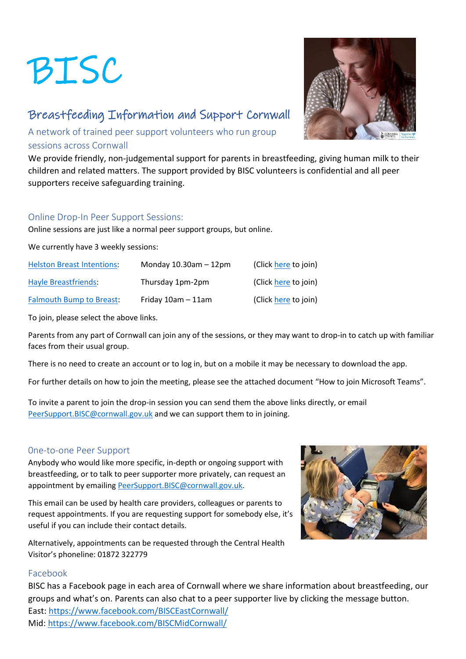# BISC

# Breastfeeding Information and Support Cornwall

A network of trained peer support volunteers who run group sessions across Cornwall

We provide friendly, non-judgemental support for parents in breastfeeding, giving human milk to their children and related matters. The support provided by BISC volunteers is confidential and all peer supporters receive safeguarding training.

## Online Drop-In Peer Support Sessions:

Online sessions are just like a normal peer support groups, but online.

We currently have 3 weekly sessions:

| <b>Helston Breast Intentions:</b> | Monday $10.30$ am $-12$ pm | (Click here to join) |
|-----------------------------------|----------------------------|----------------------|
| <b>Hayle Breastfriends:</b>       | Thursday 1pm-2pm           | (Click here to join) |
| <b>Falmouth Bump to Breast:</b>   | Friday $10am - 11am$       | (Click here to join) |

To join, please select the above links.

Parents from any part of Cornwall can join any of the sessions, or they may want to drop-in to catch up with familiar faces from their usual group.

There is no need to create an account or to log in, but on a mobile it may be necessary to download the app.

For further details on how to join the meeting, please see the attached document "How to join Microsoft Teams".

To invite a parent to join the drop-in session you can send them the above links directly, or email [PeerSupport.BISC@cornwall.gov.uk](mailto:PeerSupport.BISC@cornwall.gov.uk) and we can support them to in joining.

### 0ne-to-one Peer Support

Anybody who would like more specific, in-depth or ongoing support with breastfeeding, or to talk to peer supporter more privately, can request an appointment by emailin[g PeerSupport.BISC@cornwall.gov.uk.](mailto:PeerSupport.BISC@cornwall.gov.uk)

This email can be used by health care providers, colleagues or parents to request appointments. If you are requesting support for somebody else, it's useful if you can include their contact details.

Alternatively, appointments can be requested through the Central Health Visitor's phoneline: 01872 322779

### Facebook

BISC has a Facebook page in each area of Cornwall where we share information about breastfeeding, our groups and what's on. Parents can also chat to a peer supporter live by clicking the message button. East:<https://www.facebook.com/BISCEastCornwall/> Mid:<https://www.facebook.com/BISCMidCornwall/>